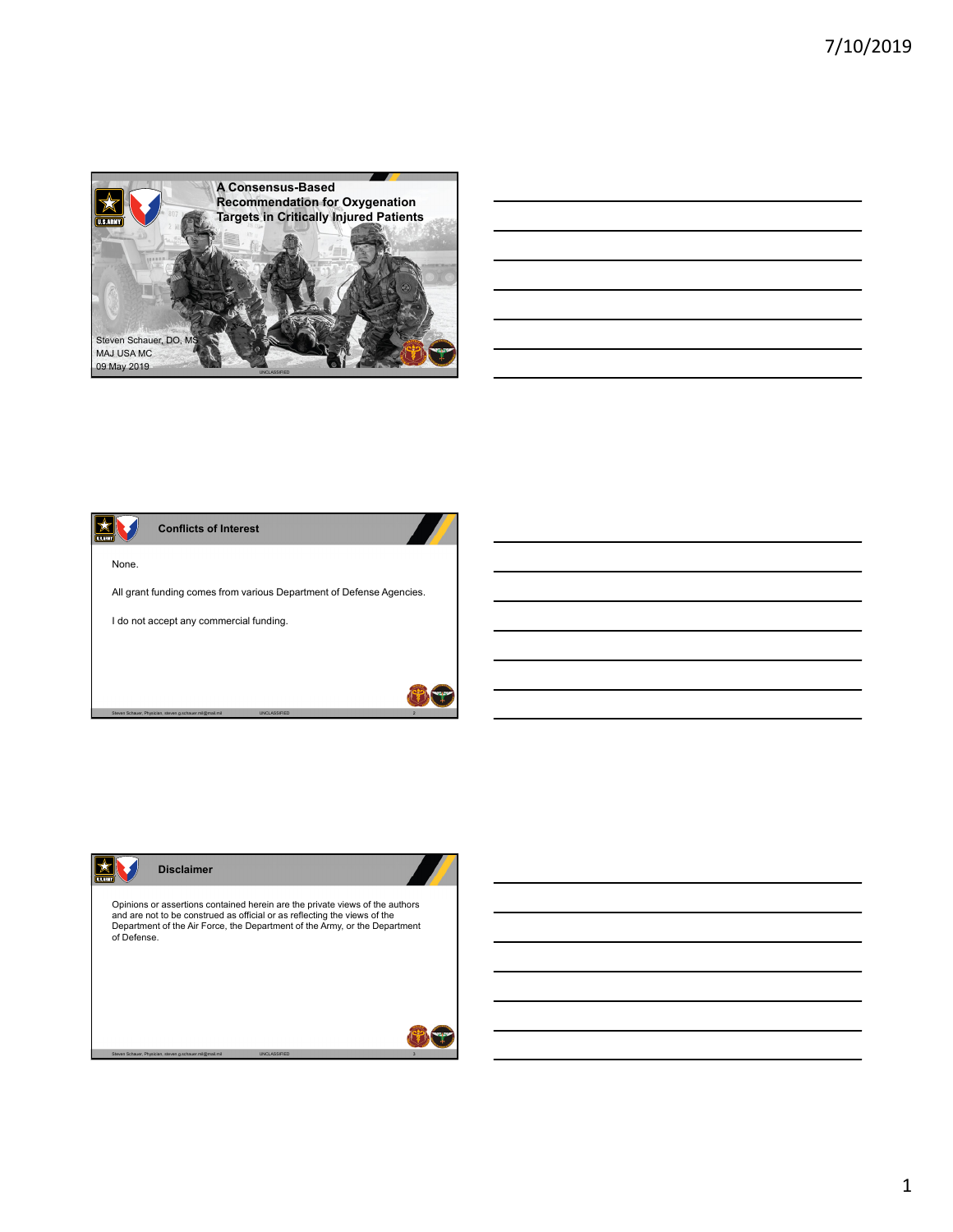

| <u> 1989 - Johann Stoff, deutscher Stoff, der Stoff, der Stoff, der Stoff, der Stoff, der Stoff, der Stoff, der S</u>   |                                                                                 |  |  |
|-------------------------------------------------------------------------------------------------------------------------|---------------------------------------------------------------------------------|--|--|
| <u> 1989 - Johann Harry Harry Harry Harry Harry Harry Harry Harry Harry Harry Harry Harry Harry Harry Harry Harry H</u> |                                                                                 |  |  |
|                                                                                                                         | the contract of the contract of the contract of the contract of the contract of |  |  |
|                                                                                                                         |                                                                                 |  |  |
|                                                                                                                         |                                                                                 |  |  |
| <u> 1989 - Johann John Stoff, deutscher Stoffen und der Stoffen und der Stoffen und der Stoffen und der Stoffen un</u>  |                                                                                 |  |  |
|                                                                                                                         |                                                                                 |  |  |





1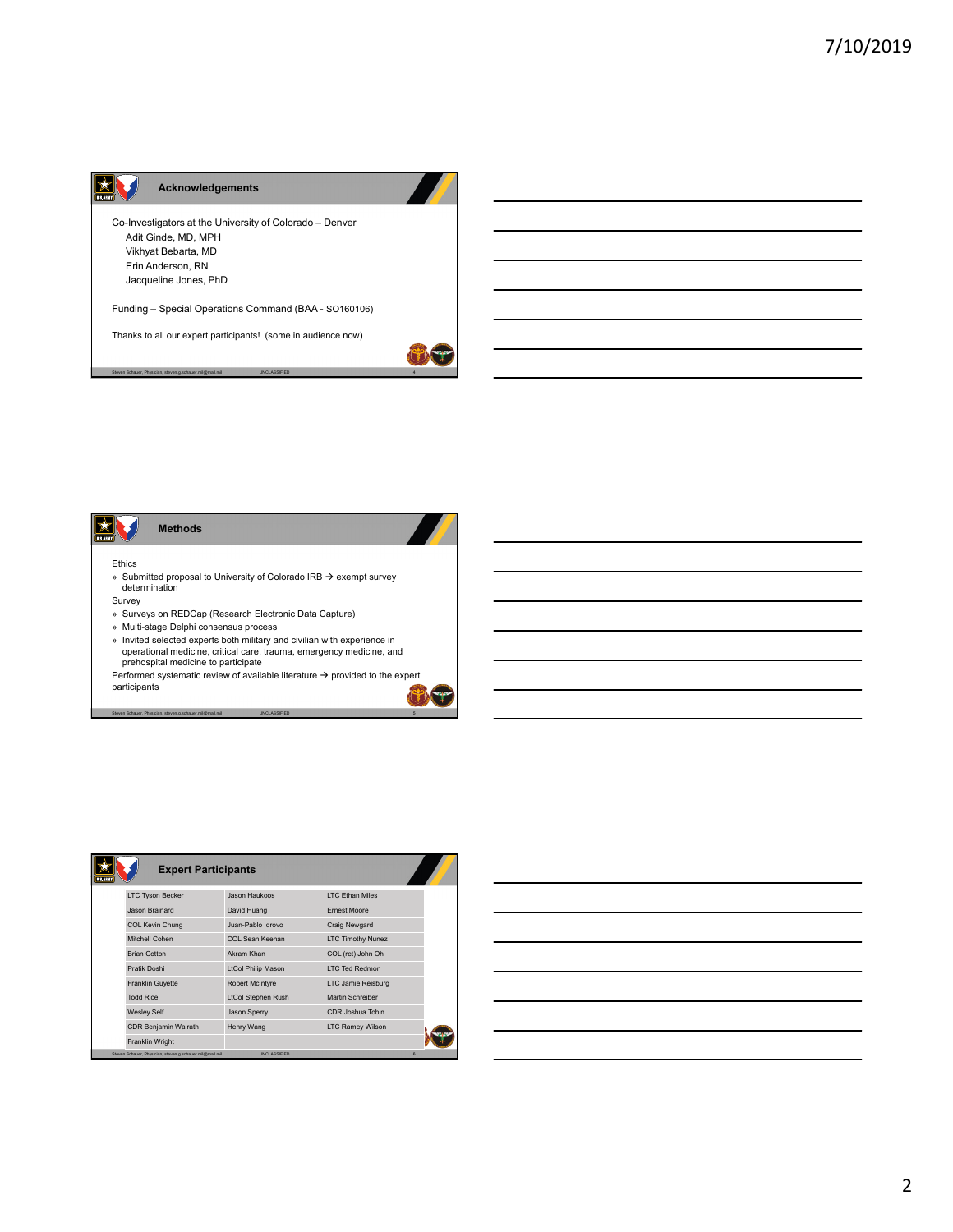## **Acknowledgements**

 $\propto$   $\mid$ 

Co-Investigators at the University of Colorado – Denver Adit Ginde, MD, MPH Vikhyat Bebarta, MD Erin Anderson, RN Jacqueline Jones, PhD

Funding – Special Operations Command (BAA - SO160106)

Thanks to all our expert participants! (some in audience now)

Steven Schauer, Physician, steven.g.schauer.mil@mail.mil UNCLASSIFIED 4



determination

- Survey
- » Surveys on REDCap (Research Electronic Data Capture)
- » Multi-stage Delphi consensus process
- » Invited selected experts both military and civilian with experience in operational medicine, critical care, trauma, emergency medicine, and prehospital medicine to participate

Performed systematic review of available literature  $\rightarrow$  provided to the expert participants

Steven Schauer, Physician, steven.g.schauer.mil@mail.mil UNCLASSIFIED 5

| <b>Expert Participants</b><br>U.S.ABM |                           |                          |  |
|---------------------------------------|---------------------------|--------------------------|--|
| <b>LTC Tyson Becker</b>               | Jason Haukoos             | <b>ITC Ethan Miles</b>   |  |
| Jason Brainard                        | David Huang               | <b>Frnest Moore</b>      |  |
| <b>COL Kevin Chung</b>                | Juan-Pablo Idrovo         | <b>Craig Newgard</b>     |  |
| Mitchell Cohen                        | COL Sean Keenan           | <b>LTC Timothy Nunez</b> |  |
| <b>Brian Cotton</b>                   | Akram Khan                | COL (ret) John Oh        |  |
| Pratik Doshi                          | <b>LtCol Philip Mason</b> | <b>I TC Ted Redmon</b>   |  |
| <b>Franklin Guyette</b>               | <b>Robert McIntyre</b>    | LTC Jamie Reisburg       |  |
| <b>Todd Rice</b>                      | <b>LtCol Stephen Rush</b> | Martin Schreiber         |  |
| <b>Wesley Self</b>                    | <b>Jason Sperry</b>       | CDR Joshua Tobin         |  |
| <b>CDR Benjamin Walrath</b>           | Henry Wang                | <b>LTC Ramey Wilson</b>  |  |
| <b>Franklin Wright</b>                |                           |                          |  |

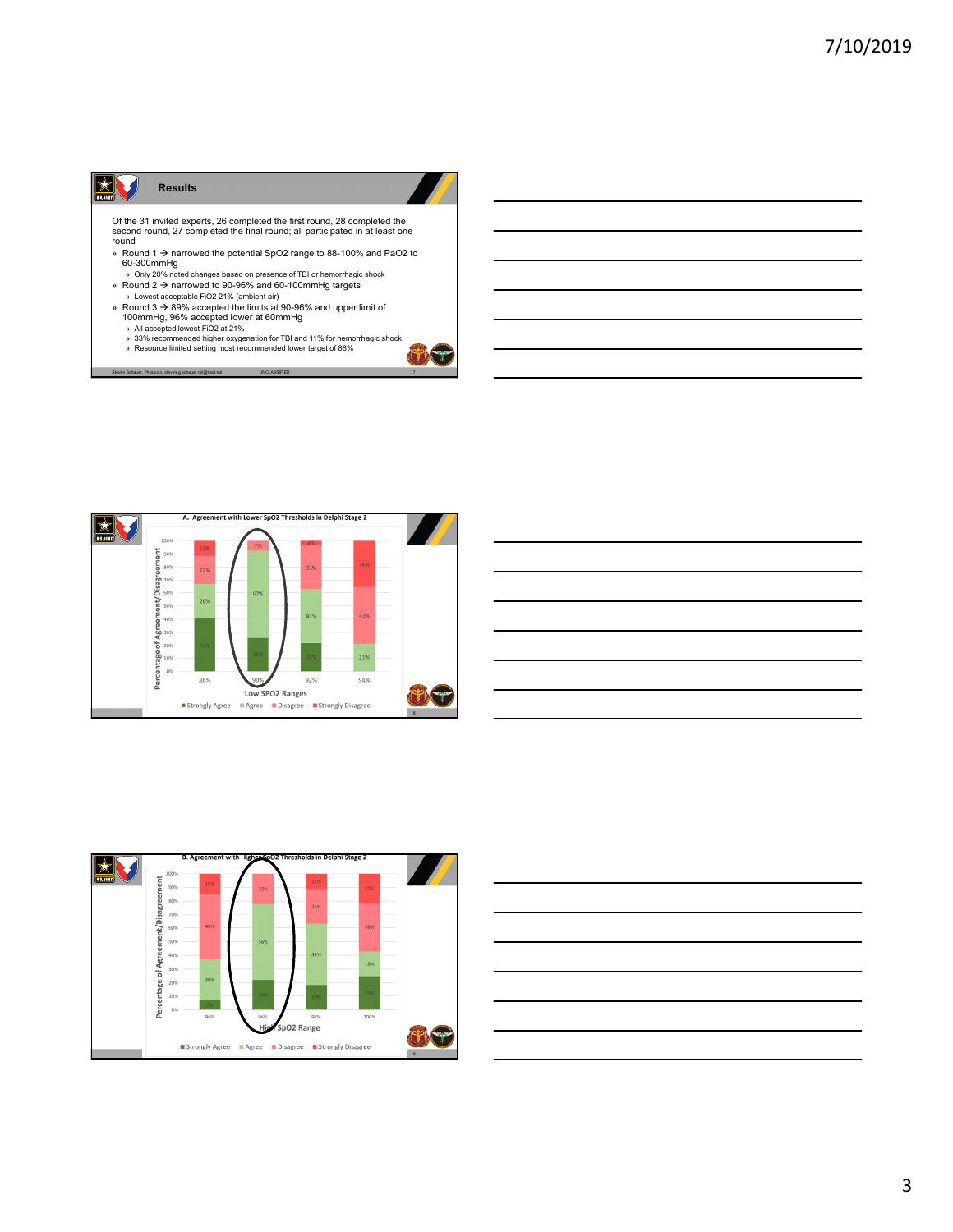## **XV Results**

Of the 31 invited experts, 26 completed the first round, 28 completed the second round, 27 completed the final round; all participated in at least one round

- » Round 1 → narrowed the potential SpO2 range to 88-100% and PaO2 to<br>60-300mmHg
- » Only 20% noted changes based on presence of TBI or hemorrhagic shock » Round 2 narrowed to 90-96% and 60-100mmHg targets » Lowest acceptable FiO2 21% (ambient air)
- 
- » Round 3 → 89% accepted the limits at 90-96% and upper limit of 100mmHg, 96% accepted lower at 60mmHg<br>
⇒ All accepted lowers FiO2 at 21%<br>
⇒ All accepted lowers FiO2 at 21%<br>
⇒ 33% recommended higher oxygenation for TBI a
	-

steven.g.schauer.mil@mail.mil

26%

88%

Strongly Agree







UNCLOSE THE RESIDENCE OF THE RESIDENCE OF THE RESIDENCE OF THE RESIDENCE OF THE RESIDENCE OF THE RESIDENCE OF THE RESIDENCE OF THE RESIDENCE OF THE RESIDENCE OF THE RESIDENCE OF THE RESIDENCE OF THE RESIDENCE OF THE RESIDE

92%

Low SPO2 Ranges

219

94%

**EXPLASH** 

 $\mathcal{L}$ الته

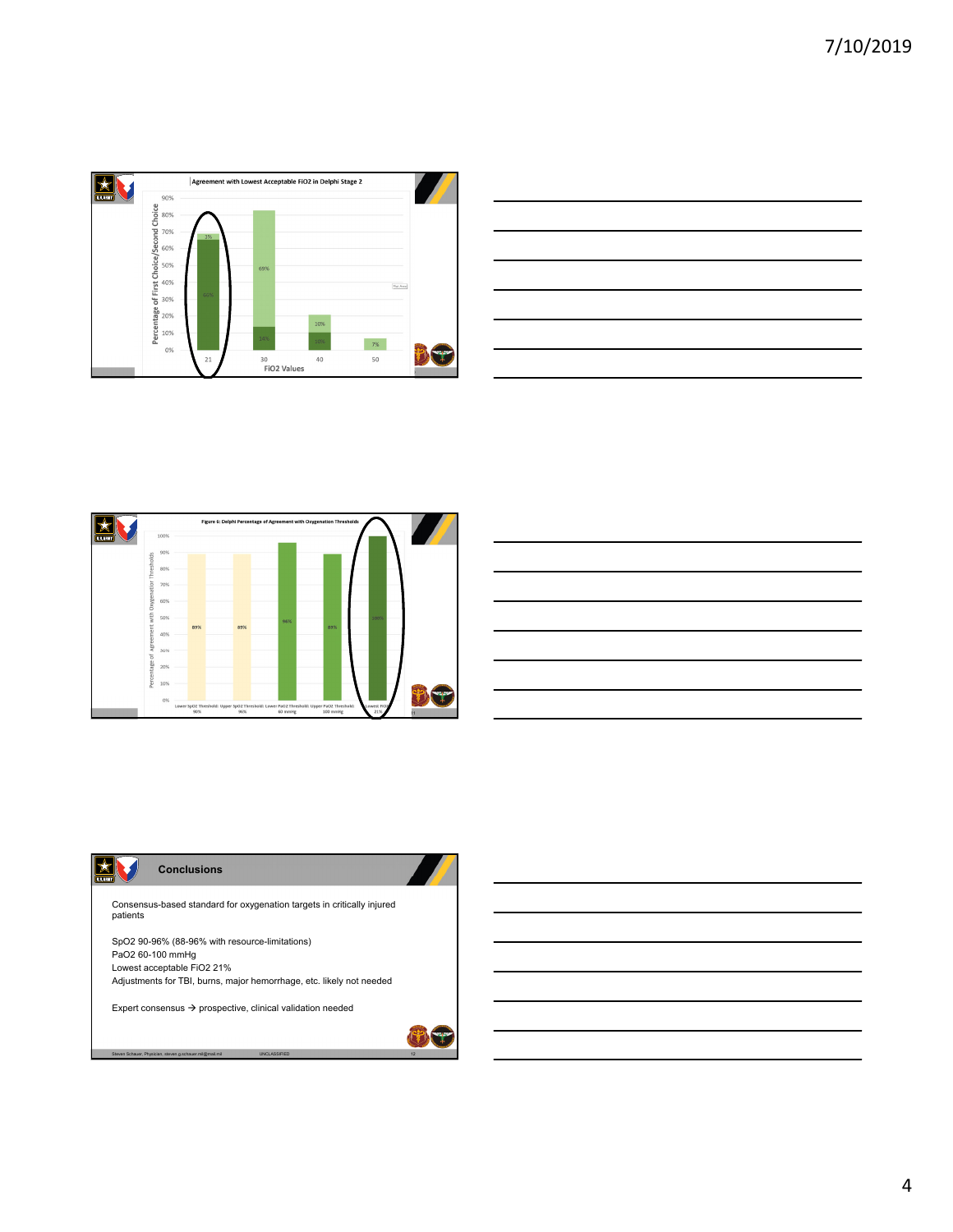

| <u>state of the contract of the contract of the contract of the contract of the contract of the contract of the contract of the contract of the contract of the contract of the contract of the contract of the contract of the </u> |  |  |  |  |
|--------------------------------------------------------------------------------------------------------------------------------------------------------------------------------------------------------------------------------------|--|--|--|--|
|                                                                                                                                                                                                                                      |  |  |  |  |
|                                                                                                                                                                                                                                      |  |  |  |  |
|                                                                                                                                                                                                                                      |  |  |  |  |
| <u> 1988 - Andrea Santa Andrea Santa Andrea Santa Andrea Santa Andrea Santa Andrea Santa Andrea Santa Andrea San</u>                                                                                                                 |  |  |  |  |
| <u> 1989 - Andrea Andrew Maria (h. 1989).</u>                                                                                                                                                                                        |  |  |  |  |
|                                                                                                                                                                                                                                      |  |  |  |  |





Consensus-based standard for oxygenation targets in critically injured patients

SpO2 90-96% (88-96% with resource-limitations) PaO2 60-100 mmHg Lowest acceptable FiO2 21% Adjustments for TBI, burns, major hemorrhage, etc. likely not needed

Expert consensus  $\rightarrow$  prospective, clinical validation needed

Steven Schauer, Physician, steven.g.schauer.mil@mail.mil UNCLASSIFIED 12